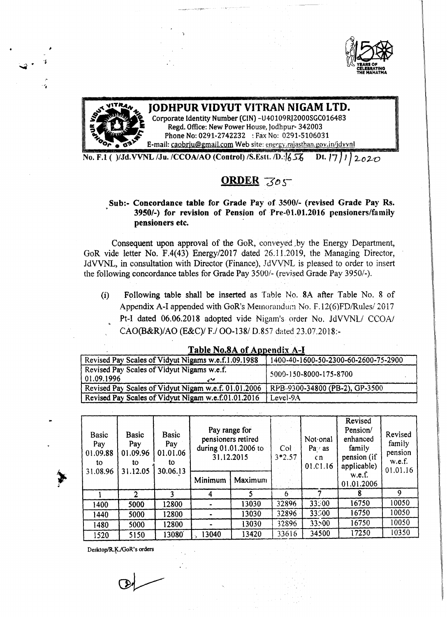



## JODHPUR VIDYUT VITRAN NIGAM LTD.<br>Corporate Identity Number (CIN) -U40109RJ2000SGC016483

Regd. Office: New Power House, Jodhpur- 342003 Phone No: 0291-2742232 : Fax No: 0291-5106031 E-mail: [caobrju@gmail.com](mailto:caobrju@gmail.com) Web site: energy.rajasthan.gov.in/jdvvnl

No. F.I ( )/Jd.vVNL /Ju./CCOAIAO (Control) /S.Estt.ID·:1651, Dt. 17 ) } *<sup>J</sup> 2..02-0*

## ORDER 305

Sub:- Concordance table for Grade Pay of 3500/- (revised Grade Pay Rs, 3950/-) for revision of Pension of Pre-01.01.2016 pensioners/family pensioners etc.

Consequent upon approval of the GoR, conveyed by the Energy Department, GoR vide letter No. F.4(43) Energy/2017 dated 26.11.2019, the Managing Director, JdVVNL, in consultation with Director (Finance), JdVVNL is pleased to order to insert the following concordance tables for Grade Pay *3500/-* (revised Grade. Pay *39501-).*

(i) Following table shall be inserted as Table No. 8A after Table No. 8 of Appendix A-I appended with GoR's Memorandum No. F.12(6)FD/Rules/ 2017 Pt-I dated 06.06.2018 adopted vide Nigam's order No. JdVVNL/ CCOA/ CAO(B&R)/AO (E&C)/ *F.I* 00-138/ D.8S7 dated 23.07.2018:-

| L'AVIC IAU.OA UL APPENUIX A-L                            |                                      |  |  |  |  |  |
|----------------------------------------------------------|--------------------------------------|--|--|--|--|--|
| Revised Pay Scales of Vidyut Nigams w.e.f.1.09.1988      | 1400-40-1600-50-2300-60-2600-75-2900 |  |  |  |  |  |
| Revised Pay Scales of Vidyut Nigams w.e.f.<br>01.09.1996 | 5000-150-8000-175-8700               |  |  |  |  |  |
| Revised Pay Scales of Vidyut Nigam w.e.f. 01.01.2006     | RPB-9300-34800 (PB-2), GP-3500       |  |  |  |  |  |
| Revised Pay Scales of Vidyut Nigam w.e.f.01.01.2016      | Level-9A                             |  |  |  |  |  |

| Table No.8A of Appendix A-I |  |  |
|-----------------------------|--|--|
|                             |  |  |
|                             |  |  |
|                             |  |  |
|                             |  |  |
|                             |  |  |
|                             |  |  |

| <b>Basic</b><br>Pay<br>01.09.88<br>to.<br>31.08.96 | <b>Basic</b><br>Pay<br>01.09.96<br>to<br>31.12.05 | <b>Basic</b><br>Pay<br>01.01.06<br>to<br>30.06.13 | Pay range for<br>pensioners retired<br>during 01.01.2006 to<br>31.12.2015 |         | Col<br>$3*2.57$ | Not onal<br>$\mathbf{Pa} \vee \mathbf{as}$<br>cn<br>01.01.16 | Revised<br>Pension/<br>enhanced<br>family<br>pension (if<br>applicable) | Revised<br>family<br>pension<br>w.e.f.<br>01.01.16 |
|----------------------------------------------------|---------------------------------------------------|---------------------------------------------------|---------------------------------------------------------------------------|---------|-----------------|--------------------------------------------------------------|-------------------------------------------------------------------------|----------------------------------------------------|
|                                                    |                                                   |                                                   | Minimum                                                                   | Maximum |                 |                                                              | w.e.f.<br>01.01.2006                                                    |                                                    |
|                                                    | $\mathcal{D}$                                     |                                                   |                                                                           |         | $6^{\circ}$     |                                                              |                                                                         | 9                                                  |
| 1400                                               | 5000                                              | 12800                                             |                                                                           | 13030   | 32896           | 33500                                                        | 16750                                                                   | 10050                                              |
| 1440                                               | 5000                                              | 12800                                             |                                                                           | 13030   | 32896           | 33500                                                        | 16750                                                                   | 10050                                              |
| 1480                                               | 5000                                              | 12800                                             |                                                                           | 13030   | 32896           | 33500                                                        | 16750                                                                   | 10050                                              |
| 1520                                               | 5150                                              | 13080´                                            | 13040                                                                     | 13420   | 33616           | 34500                                                        | 17250                                                                   | 10350                                              |

Desktop/R.K./GoR's orders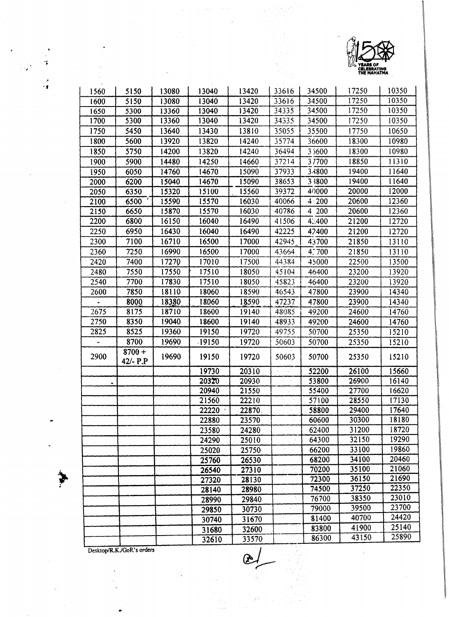

 $\overline{a}$ 

| 1560 | 5150                   | 13080 | 13040 | 13420  | 33616  | 34500 | 17250 | 10350 |
|------|------------------------|-------|-------|--------|--------|-------|-------|-------|
| 1600 | 5150                   | 13080 | 13040 | 13420  | 33616  | 34500 | 17250 | 10350 |
| 1650 | 5300                   | 13360 | 13040 | 13420  | 34335  | 34500 | 17250 | 10350 |
| 1700 | 5300                   | 13360 | 13040 | 13420  | 34335  | 34500 | 17250 | 10350 |
| 1750 | 5450                   | 13640 | 13430 | 13810  | 35055  | 35500 | 17750 | 10650 |
| 1800 | 5600                   | 13920 | 13820 | 14240  | 35774  | 36600 | 18300 | 10980 |
| 1850 | 5750                   | 14200 | 13820 | 14240  | 36494  | 35600 | 18300 | 10980 |
| 1900 | 5900                   | 14480 | 14250 | 14660  | 37214  | 37700 | 18850 | 11310 |
| 1950 | 6050                   | 14760 | 14670 | 15090  | 37933  | 33800 | 19400 | 11640 |
| 2000 | 6200                   | 15040 | 14670 | 15090  | 38653  | 33800 | 19400 | 11640 |
| 2050 | 6350                   | 15320 | 15100 | 15560  | 39372  | 40000 | 20000 | 12000 |
| 2100 | 6500                   | 15590 | 15570 | 16030  | 40066  | 4:200 | 20600 | 12360 |
| 2150 | 6650                   | 15870 | 15570 | 16030  | 40786  | 4 200 | 20600 | 12360 |
| 2200 | 6800                   | 16150 | 16040 | 16490  | 41506  | 42400 | 21200 | 12720 |
| 2250 | 6950                   | 16430 | 16040 | 16490  | 42225  | 42400 | 21200 | 12720 |
| 2300 | 7100                   | 16710 | 16500 | 17000  | 42945  | 43700 | 21850 | 13110 |
| 2360 | 7250                   | 16990 | 16500 | 17000  | 43664  | 4.700 | 21850 | 13110 |
| 2420 | 7400                   | 17270 | 17010 | 17500  | 44384  | 45000 | 22500 | 13500 |
| 2480 | 7550                   | 17550 | 17510 | 18050  | 45104  | 46400 | 23200 | 13920 |
| 2540 | 7700                   | 17830 | 17510 | 18050  | 45823  | 46400 | 23200 | 13920 |
| 2600 | 7850                   | 18110 | 18060 | 18590  | 46543  | 47800 | 23900 | 14340 |
|      | 8000                   | 18380 | 18060 | 18590  | 47237  | 47800 | 23900 | 14340 |
| 2675 | 8175                   | 18710 | 18600 | 19140  | 48085  | 49200 | 24600 | 14760 |
| 2750 | 8350                   | 19040 | 18600 | 19140  | 48933  | 49200 | 24600 | 14760 |
| 2825 | 8525                   | 19360 | 19150 | 19720  | 49755. | 50700 | 25350 | 15210 |
|      | 8700                   | 19690 | 19150 | 19720  | 50603  | 50700 | 25350 | 15210 |
| 2900 | $8700 +$<br>$42/- P.P$ | 19690 | 19150 | 19720  | 50603  | 50700 | 25350 | 15210 |
|      |                        |       | 19730 | 20310  |        | 52200 | 26100 | 15660 |
| ۰    |                        |       | 20320 | 20930  |        | 53800 | 26900 | 16140 |
|      |                        |       | 20940 | 21550  |        | 55400 | 27700 | 16620 |
|      |                        |       | 21560 | 22210  |        | 57100 | 28550 | 17130 |
|      |                        |       | 22220 | 22870. |        | 58800 | 29400 | 17640 |
|      |                        |       | 22880 | 23570  |        | 60600 | 30300 | 18180 |
|      |                        |       | 23580 | 24280  |        | 62400 | 31200 | 18720 |
|      |                        |       | 24290 | 25010  |        | 64300 | 32150 | 19290 |
|      |                        |       | 25020 | 25750  |        | 66200 | 33100 | 19860 |
|      |                        |       | 25760 | 26530  |        | 68200 | 34100 | 20460 |
|      |                        |       | 26540 | 27310  |        | 70200 | 35100 | 21060 |
|      |                        |       | 27320 | 28130  |        | 72300 | 36150 | 21690 |
|      |                        |       | 28140 | 28980  |        | 74500 | 37250 | 22350 |
|      |                        |       | 28990 | 29840  |        | 76700 | 38350 | 23010 |
|      |                        |       | 29850 | 30730  |        | 79000 | 39500 | 23700 |
|      |                        |       | 30740 | 31670  |        | 81400 | 40700 | 24420 |
|      |                        |       | 31680 | 32600  |        | 83800 | 41900 | 25140 |
|      |                        |       | 32610 | 33570  |        | 86300 | 43150 | 25890 |

l.

Desktop/R.K./GoR's orders

 $\hat{\phi}^{\star}$ 

 $\boldsymbol{\gamma}$ 

 $\mathcal G$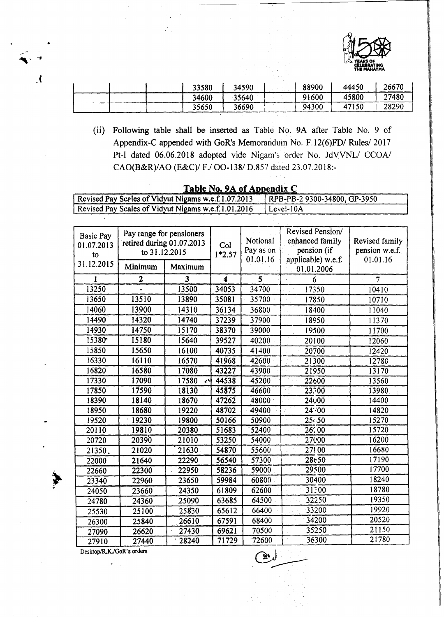

| 33580 | 34590 | 88900 | 44450 | 26670 |
|-------|-------|-------|-------|-------|
| 34600 | 35640 | 91600 | 45800 | 27480 |
| 35650 | 36690 | 94300 | 47150 | 28290 |

(ii) Following table shall be inserted as Table No. 9A after Table No. 9 of Appendix-C appended with GoR's Memorandum No. F.12(6)FD/ Rules/ 2017 Pt-I dated 06.06.2018 adopted vide Nigam's order No. JdVVNL/ CCOA/ CAO(B&R)/AO (E&C)/ F./ OO-138/ D.857 dated 23.07.2018:-

| Revised Pay Sceles of Vidyut Nigams w.e.f.1.07.2013<br>RPB-PB-2 9300-34800, GP-3950 |                                                                        |            |                     |          |                       |                                                                          |                                  |  |
|-------------------------------------------------------------------------------------|------------------------------------------------------------------------|------------|---------------------|----------|-----------------------|--------------------------------------------------------------------------|----------------------------------|--|
| Revised Pay Scales of Vidyut Nigams w.e.f.1.01.2016<br>Level-10A                    |                                                                        |            |                     |          |                       |                                                                          |                                  |  |
|                                                                                     |                                                                        |            |                     |          |                       |                                                                          |                                  |  |
| <b>Basic Pay</b><br>01.07.2013<br>to                                                | Pay range for pensioners<br>retired during 01.07.2013<br>to 31.12.2015 |            | Col<br>$1*2.57$     |          | Notional<br>Pay as on | Revised Pension/<br>enhanced family<br>pension (if<br>applicable) w.e.f. | Revised family<br>pension w.e.f. |  |
| 31.12.2015                                                                          | Minimum                                                                | Maximum    |                     | 01.01.16 |                       | 01.01.2006                                                               | 01.01.16                         |  |
| 1                                                                                   | $\overline{\mathbf{c}}$                                                | 3          | $\overline{\bf{4}}$ | 5        |                       | 6                                                                        | $\overline{7}$                   |  |
| 13250                                                                               |                                                                        | 13500      | 34053               | 34700    |                       | 17350                                                                    | 10410                            |  |
| 13650                                                                               | 13510                                                                  | 13890      | 35081               | 35700    |                       | 17850                                                                    | 10710                            |  |
| 14060                                                                               | 13900                                                                  | 14310      | 36134               | 36800    |                       | 18400                                                                    | 11040                            |  |
| 14490                                                                               | 14320                                                                  | 14740      | 37239               | 37900    |                       | 18950                                                                    | 11370                            |  |
| 14930                                                                               | 14750                                                                  | 15170      | 38370               | 39000    |                       | 19500                                                                    | 11700                            |  |
| 15380                                                                               | 15180                                                                  | 15640      | 39527               | 40200    |                       | 20100                                                                    | 12060                            |  |
| 15850                                                                               | 15650                                                                  | 16100      | 40735               | 41400    |                       | 20700                                                                    | 12420                            |  |
| 16330                                                                               | 16110                                                                  | 16570      | 41968               | 42600    |                       | 21300                                                                    | 12780                            |  |
| 16820                                                                               | 16580                                                                  | 17080      | 43227               | 43900    |                       | 21950                                                                    | 13170                            |  |
| 17330                                                                               | 17090                                                                  | 17580<br>ᆟ | 44538               | 45200    |                       | 22600                                                                    | 13560                            |  |
| 17850                                                                               | 17590                                                                  | 18130      | 45875               | 46600    |                       | 23300                                                                    | 13980                            |  |
| 18390                                                                               | 18140                                                                  | 18670      | 47262               | 48000    |                       | 24000                                                                    | 14400                            |  |
| 18950                                                                               | 18680                                                                  | 19220      | 48702               | 49400    |                       | 24700                                                                    | 14820                            |  |
| 19520                                                                               | 19230                                                                  | 19800      | 50166               | 50900    |                       | $25 - 50$                                                                | 15270                            |  |
| 20110                                                                               | 19810                                                                  | 20380      | 51683               | 52400    |                       | 26200                                                                    | 15720                            |  |
| 20720                                                                               | 20390                                                                  | 21010      | 53250               | 54000    |                       | 27000                                                                    | 16200                            |  |
| 21350.                                                                              | 21020                                                                  | 21630      | 54870               | 55600    |                       | 27800                                                                    | 16680                            |  |
| 22000                                                                               | 21640                                                                  | 22290      | 56540               | 57300    |                       | 28650                                                                    | 17190                            |  |
| 22660                                                                               | 22300                                                                  | 22950      | 58236               | 59000    |                       | 29500                                                                    | 17700                            |  |
| 23340                                                                               | 22960                                                                  | 23650      | 59984               | 60800    |                       | 30400                                                                    | 18240                            |  |
| 24050                                                                               | 23660                                                                  | 24350      | 61809               | 62600    |                       | 31300                                                                    | 18780                            |  |
| 24780                                                                               | 24360                                                                  | 25090      | 63685               | 64500    |                       | 32250                                                                    | 19350                            |  |
| 25530                                                                               | 25100                                                                  | 25830      | 65612               | 66400    |                       | 33200                                                                    | 19920                            |  |
| 26300                                                                               | 25840                                                                  | 26610      | 67591               | 68400    |                       | 34200                                                                    | 20520                            |  |
| 27090                                                                               | 26620                                                                  | 27430      | 69621               | 70500    |                       | 35250                                                                    | 21150                            |  |
| 27910                                                                               | 27440                                                                  | 28240      | 71729               | 72600    |                       | 36300                                                                    | 21780                            |  |

## Table No. 9A of Appendix C

Desktop/R.K./GoR's orders l.

 $\boldsymbol{\Lambda}$ 

≫∿્ર